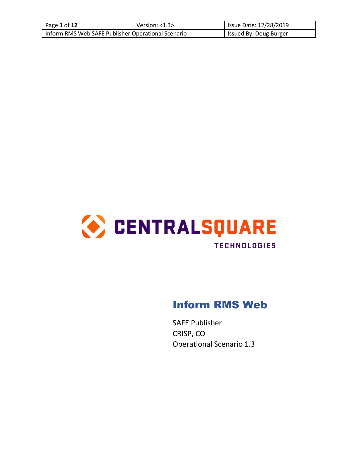| Page 1 of 12                                       | Version: $<$ 1.3 $>$ | <b>Issue Date: 12/28/2019</b> |
|----------------------------------------------------|----------------------|-------------------------------|
| Inform RMS Web SAFE Publisher Operational Scenario |                      | Issued By: Doug Burger        |



# Inform RMS Web

SAFE Publisher CRISP, CO Operational Scenario 1.3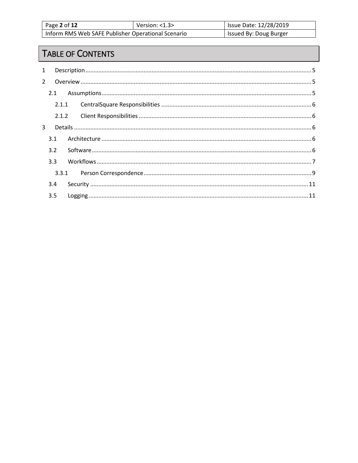| Page 2 of 12                                       | Version: $<$ 1.3 $>$ | Issue Date: 12/28/2019 |
|----------------------------------------------------|----------------------|------------------------|
| Inform RMS Web SAFE Publisher Operational Scenario |                      | Issued By: Doug Burger |

# TABLE OF CONTENTS

| $\mathbf{1}$   |       |  |
|----------------|-------|--|
| $\overline{2}$ |       |  |
|                |       |  |
|                | 2.1.1 |  |
|                |       |  |
| $\mathbf{R}$   |       |  |
|                | 3.1   |  |
|                | 3.2   |  |
|                | 3.3   |  |
|                |       |  |
|                | 3.4   |  |
|                | 3.5   |  |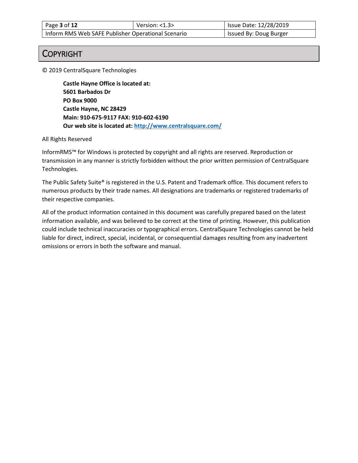| Page 3 of 12                                       | Version: $<$ 1.3 $>$ | <b>Issue Date: 12/28/2019</b> |
|----------------------------------------------------|----------------------|-------------------------------|
| Inform RMS Web SAFE Publisher Operational Scenario |                      | Issued By: Doug Burger        |

## COPYRIGHT

© 2019 CentralSquare Technologies

**Castle Hayne Office is located at: 5601 Barbados Dr PO Box 9000 Castle Hayne, NC 28429 Main: 910-675-9117 FAX: 910-602-6190 Our web site is located at[: http://www.centralsquare.com/](http://www.centralsquare.com/)**

#### All Rights Reserved

InformRMS™ for Windows is protected by copyright and all rights are reserved. Reproduction or transmission in any manner is strictly forbidden without the prior written permission of CentralSquare Technologies.

The Public Safety Suite® is registered in the U.S. Patent and Trademark office. This document refers to numerous products by their trade names. All designations are trademarks or registered trademarks of their respective companies.

All of the product information contained in this document was carefully prepared based on the latest information available, and was believed to be correct at the time of printing. However, this publication could include technical inaccuracies or typographical errors. CentralSquare Technologies cannot be held liable for direct, indirect, special, incidental, or consequential damages resulting from any inadvertent omissions or errors in both the software and manual.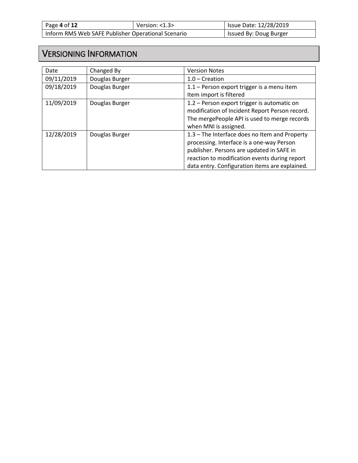| Page 4 of 12                                       | Version: $<$ 1.3 $>$ | Issue Date: 12/28/2019 |
|----------------------------------------------------|----------------------|------------------------|
| Inform RMS Web SAFE Publisher Operational Scenario |                      | Issued By: Doug Burger |

# VERSIONING INFORMATION

| Date       | Changed By     | <b>Version Notes</b>                           |
|------------|----------------|------------------------------------------------|
| 09/11/2019 | Douglas Burger | $1.0$ – Creation                               |
| 09/18/2019 | Douglas Burger | 1.1 - Person export trigger is a menu item     |
|            |                | Item import is filtered                        |
| 11/09/2019 | Douglas Burger | 1.2 - Person export trigger is automatic on    |
|            |                | modification of Incident Report Person record. |
|            |                | The mergePeople API is used to merge records   |
|            |                | when MNI is assigned.                          |
| 12/28/2019 | Douglas Burger | 1.3 - The Interface does no Item and Property  |
|            |                | processing. Interface is a one-way Person      |
|            |                | publisher. Persons are updated in SAFE in      |
|            |                | reaction to modification events during report  |
|            |                | data entry. Configuration items are explained. |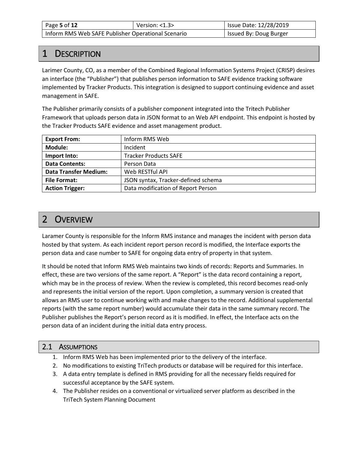| Page 5 of 12                                       | Version: $<$ 1.3 $>$ | Issue Date: 12/28/2019 |
|----------------------------------------------------|----------------------|------------------------|
| Inform RMS Web SAFE Publisher Operational Scenario |                      | Issued By: Doug Burger |

# 1 DESCRIPTION

Larimer County, CO, as a member of the Combined Regional Information Systems Project (CRISP) desires an interface (the "Publisher") that publishes person information to SAFE evidence tracking software implemented by Tracker Products. This integration is designed to support continuing evidence and asset management in SAFE.

The Publisher primarily consists of a publisher component integrated into the Tritech Publisher Framework that uploads person data in JSON format to an Web API endpoint. This endpoint is hosted by the Tracker Products SAFE evidence and asset management product.

| <b>Export From:</b>          | Inform RMS Web                      |
|------------------------------|-------------------------------------|
| Module:                      | Incident                            |
| Import Into:                 | <b>Tracker Products SAFE</b>        |
| <b>Data Contents:</b>        | Person Data                         |
| <b>Data Transfer Medium:</b> | Web RESTful API                     |
| <b>File Format:</b>          | JSON syntax, Tracker-defined schema |
| <b>Action Trigger:</b>       | Data modification of Report Person  |

# 2 OVERVIEW

Laramer County is responsible for the Inform RMS instance and manages the incident with person data hosted by that system. As each incident report person record is modified, the Interface exports the person data and case number to SAFE for ongoing data entry of property in that system.

It should be noted that Inform RMS Web maintains two kinds of records: Reports and Summaries. In effect, these are two versions of the same report. A "Report" is the data record containing a report, which may be in the process of review. When the review is completed, this record becomes read-only and represents the initial version of the report. Upon completion, a summary version is created that allows an RMS user to continue working with and make changes to the record. Additional supplemental reports (with the same report number) would accumulate their data in the same summary record. The Publisher publishes the Report's person record as it is modified. In effect, the Interface acts on the person data of an incident during the initial data entry process.

## 2.1 ASSUMPTIONS

- 1. Inform RMS Web has been implemented prior to the delivery of the interface.
- 2. No modifications to existing TriTech products or database will be required for this interface.
- 3. A data entry template is defined in RMS providing for all the necessary fields required for successful acceptance by the SAFE system.
- 4. The Publisher resides on a conventional or virtualized server platform as described in the TriTech System Planning Document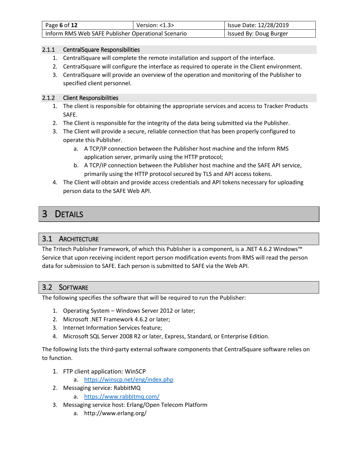| Page 6 of 12                                       | Version: $<$ 1.3 $>$ | Issue Date: 12/28/2019 |
|----------------------------------------------------|----------------------|------------------------|
| Inform RMS Web SAFE Publisher Operational Scenario |                      | Issued By: Doug Burger |

#### 2.1.1 CentralSquare Responsibilities

- 1. CentralSquare will complete the remote installation and support of the interface.
- 2. CentralSquare will configure the interface as required to operate in the Client environment.
- 3. CentralSquare will provide an overview of the operation and monitoring of the Publisher to specified client personnel.

#### 2.1.2 Client Responsibilities

- 1. The client is responsible for obtaining the appropriate services and access to Tracker Products SAFE.
- 2. The Client is responsible for the integrity of the data being submitted via the Publisher.
- 3. The Client will provide a secure, reliable connection that has been properly configured to operate this Publisher.
	- a. A TCP/IP connection between the Publisher host machine and the Inform RMS application server, primarily using the HTTP protocol;
	- b. A TCP/IP connection between the Publisher host machine and the SAFE API service, primarily using the HTTP protocol secured by TLS and API access tokens.
- 4. The Client will obtain and provide access credentials and API tokens necessary for uploading person data to the SAFE Web API.

# 3 DETAILS

## 3.1 ARCHITECTURE

The Tritech Publisher Framework, of which this Publisher is a component, is a .NET 4.6.2 Windows™ Service that upon receiving incident report person modification events from RMS will read the person data for submission to SAFE. Each person is submitted to SAFE via the Web API.

## 3.2 SOFTWARE

The following specifies the software that will be required to run the Publisher:

- 1. Operating System Windows Server 2012 or later;
- 2. Microsoft .NET Framework 4.6.2 or later;
- 3. Internet Information Services feature;
- 4. Microsoft SQL Server 2008 R2 or later, Express, Standard, or Enterprise Edition.

The following lists the third-party external software components that CentralSquare software relies on to function.

- 1. FTP client application: WinSCP
	- a. <https://winscp.net/eng/index.php>
- 2. Messaging service: RabbitMQ
	- a. <https://www.rabbitmq.com/>
- 3. Messaging service host: Erlang/Open Telecom Platform
	- a. http://www.erlang.org/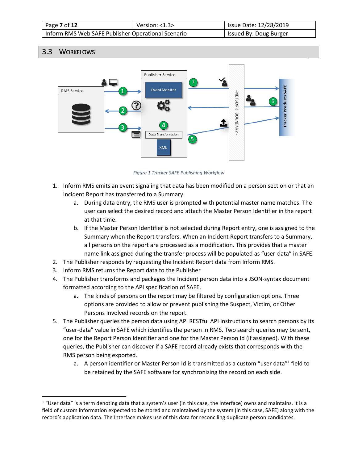| Page 7 of 12                                       | Version: $<$ 1.3 $>$ | <b>Issue Date: 12/28/2019</b> |
|----------------------------------------------------|----------------------|-------------------------------|
| Inform RMS Web SAFE Publisher Operational Scenario |                      | Issued By: Doug Burger        |

## 3.3 WORKFLOWS

 $\overline{a}$ 



*Figure 1 Tracker SAFE Publishing Workflow*

- 1. Inform RMS emits an event signaling that data has been modified on a person section or that an Incident Report has transferred to a Summary.
	- a. During data entry, the RMS user is prompted with potential master name matches. The user can select the desired record and attach the Master Person Identifier in the report at that time.
	- b. If the Master Person Identifier is not selected during Report entry, one is assigned to the Summary when the Report transfers. When an Incident Report transfers to a Summary, all persons on the report are processed as a modification. This provides that a master name link assigned during the transfer process will be populated as "user-data" in SAFE.
- 2. The Publisher responds by requesting the Incident Report data from Inform RMS.
- 3. Inform RMS returns the Report data to the Publisher
- 4. The Publisher transforms and packages the Incident person data into a JSON-syntax document formatted according to the API specification of SAFE.
	- a. The kinds of persons on the report may be filtered by configuration options. Three options are provided to allow or prevent publishing the Suspect, Victim, or Other Persons Involved records on the report.
- 5. The Publisher queries the person data using API RESTful API instructions to search persons by its "user-data" value in SAFE which identifies the person in RMS. Two search queries may be sent, one for the Report Person Identifier and one for the Master Person Id (if assigned). With these queries, the Publisher can discover if a SAFE record already exists that corresponds with the RMS person being exported.
	- a. A person identifier or Master Person Id is transmitted as a custom "user data"<sup>1</sup> field to be retained by the SAFE software for synchronizing the record on each side.

<sup>&</sup>lt;sup>1</sup> "User data" is a term denoting data that a system's user (in this case, the Interface) owns and maintains. It is a field of custom information expected to be stored and maintained by the system (in this case, SAFE) along with the record's application data. The Interface makes use of this data for reconciling duplicate person candidates.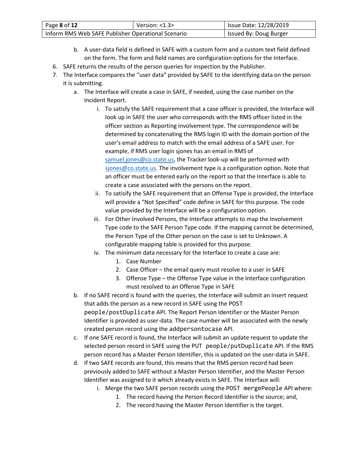| Page 8 of 12                                       | Version: $<$ 1.3 $>$ | Issue Date: 12/28/2019 |
|----------------------------------------------------|----------------------|------------------------|
| Inform RMS Web SAFE Publisher Operational Scenario |                      | Issued By: Doug Burger |

- b. A user-data field is defined in SAFE with a custom form and a custom text field defined on the form. The form and field names are configuration options for the Interface.
- 6. SAFE returns the results of the person queries for inspection by the Publisher.
- 7. The Interface compares the "user data" provided by SAFE to the identifying data on the person it is submitting.
	- a. The Interface will create a case in SAFE, if needed, using the case number on the Incident Report.
		- i. To satisfy the SAFE requirement that a case officer is provided, the Interface will look up in SAFE the user who corresponds with the RMS officer listed in the officer section as Reporting involvement type. The correspondence will be determined by concatenating the RMS login ID with the domain portion of the user's email address to match with the email address of a SAFE user. For example, if RMS user login sjones has an email in RMS of [samuel.jones@co.state.us,](mailto:samuel.jones@co.state.us) the Tracker look-up will be performed with [sjones@co.state.us.](mailto:sjones@co.state.us) The involvement type is a configuration option. Note that an officer must be entered early on the report so that the Interface is able to create a case associated with the persons on the report.
		- ii. To satisify the SAFE requirement that an Offense Type is provided, the Interface will provide a "Not Specified" code define in SAFE for this purpose. The code value provided by the Interface will be a configuration option.
		- iii. For Other Involved Persons, the Interface attempts to map the Involvement Type code to the SAFE Person Type code. If the mapping cannot be determined, the Person Type of the Other person on the case is set to Unknown. A configurable mapping table is provided for this purpose.
		- iv. The minimum data necessary for the Interface to create a case are:
			- 1. Case Number
			- 2. Case Officer the email query must resolve to a user in SAFE
			- 3. Offense Type the Offense Type value in the Interface configuration must resolved to an Offense Type in SAFE
	- b. If no SAFE record is found with the queries, the Interface will submit an insert request that adds the person as a new record in SAFE using the POST people/postDuplicate API. The Report Person Identifier or the Master Person Identifier is provided as user-data. The case number will be associated with the newly created person record using the addpersontocase API.
	- c. If one SAFE record is found, the Interface will submit an update request to update the selected person record in SAFE using the PUT people/putDuplicate API. If the RMS person record has a Master Person Identifier, this is updated on the user-data in SAFE.
	- d. If two SAFE records are found, this means that the RMS person record had been previously added to SAFE without a Master Person Identifier, and the Master Person Identifier was assigned to it which already exists in SAFE. The Interface will:
		- i. Merge the two SAFE person records using the POST mergePeople API where:
			- 1. The record having the Person Record Identifier is the source; and,
			- 2. The record having the Master Person Identifier is the target.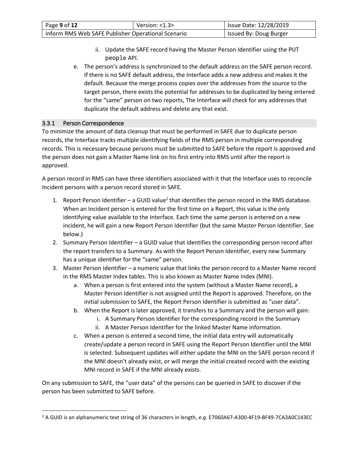| Page 9 of 12                                       | Version: $<$ 1.3 $>$ | Issue Date: 12/28/2019 |
|----------------------------------------------------|----------------------|------------------------|
| Inform RMS Web SAFE Publisher Operational Scenario |                      | Issued By: Doug Burger |

- ii. Update the SAFE record having the Master Person Identifier using the PUT people API.
- e. The person's address is synchronized to the default address on the SAFE person record. If there is no SAFE default address, the Interface adds a new address and makes it the default. Because the merge process copies over the addresses from the source to the target person, there exists the potential for addresses to be duplicated by being entered for the "same" person on two reports, The Interface will check for any addresses that duplicate the default address and delete any that exist.

#### 3.3.1 Person Correspondence

 $\overline{\phantom{a}}$ 

To minimize the amount of data cleanup that must be performed in SAFE due to duplicate person records, the Interface tracks multiple identifying fields of the RMS person in multiple corresponding records. This is necessary because persons must be submitted to SAFE before the report is approved and the person does not gain a Master Name link on his first entry into RMS until after the report is approved.

A person record in RMS can have three identifiers associated with it that the Interface uses to reconcile Incident persons with a person record stored in SAFE.

- 1. Report Person Identifier a GUID value<sup>2</sup> that identifies the person record in the RMS database. When an Incident person is entered for the first time on a Report, this value is the only identifying value available to the Interface. Each time the same person is entered on a new incident, he will gain a new Report Person Identifier (but the same Master Person Identifier. See below.)
- 2. Summary Person Identifier a GUID value that identifies the corresponding person record after the report transfers to a Summary. As with the Report Person Identifier, every new Summary has a unique identifier for the "same" person.
- 3. Master Person Identifier a numeric value that links the person record to a Master Name record in the RMS Master Index tables. This is also known as Master Name Index (MNI).
	- a. When a person is first entered into the system (without a Master Name record), a Master Person Identifier is not assigned until the Report is approved. Therefore, on the initial submission to SAFE, the Report Person Identifier is submitted as "user data".
	- b. When the Report is later approved, it transfers to a Summary and the person will gain:
		- i. A Summary Person Identifier for the corresponding record in the Summary
		- ii. A Master Person Identifier for the linked Master Name information.
	- c. When a person is entered a second time, the initial data entry will automatically create/update a person record in SAFE using the Report Person Identifier until the MNI is selected. Subsequent updates will either update the MNI on the SAFE person record if the MNI doesn't already exist, or will merge the initial created record with the existing MNI record in SAFE if the MNI already exists.

On any submission to SAFE, the "user data" of the persons can be queried in SAFE to discover if the person has been submitted to SAFE before.

<sup>2</sup> A GUID is an alphanumeric text string of 36 characters in length, *e.g.* E7060A67-A300-4F19-BF49-7CA3A0C143EC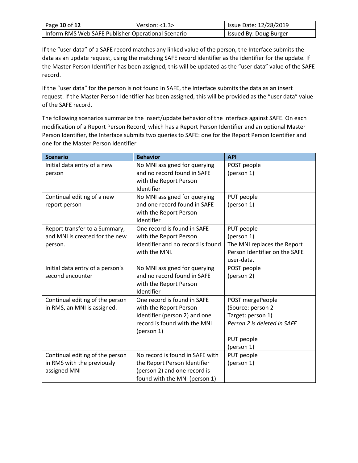| Page 10 of 12                                      | Version: $<$ 1.3 $>$ | Issue Date: 12/28/2019 |
|----------------------------------------------------|----------------------|------------------------|
| Inform RMS Web SAFE Publisher Operational Scenario |                      | Issued By: Doug Burger |

If the "user data" of a SAFE record matches any linked value of the person, the Interface submits the data as an update request, using the matching SAFE record identifier as the identifier for the update. If the Master Person Identifier has been assigned, this will be updated as the "user data" value of the SAFE record.

If the "user data" for the person is not found in SAFE, the Interface submits the data as an insert request. If the Master Person Identifier has been assigned, this will be provided as the "user data" value of the SAFE record.

The following scenarios summarize the insert/update behavior of the Interface against SAFE. On each modification of a Report Person Record, which has a Report Person Identifier and an optional Master Person Identifier, the Interface submits two queries to SAFE: one for the Report Person Identifier and one for the Master Person Identifier

| <b>Scenario</b>                  | <b>Behavior</b>                   | <b>API</b>                    |
|----------------------------------|-----------------------------------|-------------------------------|
| Initial data entry of a new      | No MNI assigned for querying      | POST people                   |
| person                           | and no record found in SAFE       | (person 1)                    |
|                                  | with the Report Person            |                               |
|                                  | Identifier                        |                               |
| Continual editing of a new       | No MNI assigned for querying      | PUT people                    |
| report person                    | and one record found in SAFE      | (person 1)                    |
|                                  | with the Report Person            |                               |
|                                  | Identifier                        |                               |
| Report transfer to a Summary,    | One record is found in SAFE       | PUT people                    |
| and MNI is created for the new   | with the Report Person            | (person 1)                    |
| person.                          | Identifier and no record is found | The MNI replaces the Report   |
|                                  | with the MNI.                     | Person Identifier on the SAFE |
|                                  |                                   | user-data.                    |
| Initial data entry of a person's | No MNI assigned for querying      | POST people                   |
| second encounter                 | and no record found in SAFE       | (person 2)                    |
|                                  | with the Report Person            |                               |
|                                  | Identifier                        |                               |
| Continual editing of the person  | One record is found in SAFE       | POST mergePeople              |
| in RMS, an MNI is assigned.      | with the Report Person            | (Source: person 2             |
|                                  | Identifier (person 2) and one     | Target: person 1)             |
|                                  | record is found with the MNI      | Person 2 is deleted in SAFE   |
|                                  | (person 1)                        |                               |
|                                  |                                   | PUT people                    |
|                                  | No record is found in SAFE with   | (person 1)                    |
| Continual editing of the person  |                                   | PUT people                    |
| in RMS with the previously       | the Report Person Identifier      | (person 1)                    |
| assigned MNI                     | (person 2) and one record is      |                               |
|                                  | found with the MNI (person 1)     |                               |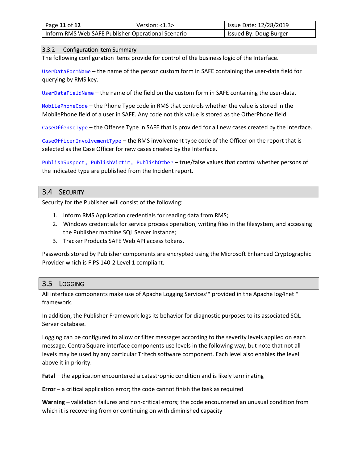| Page 11 of 12                                      | Version: $<$ 1.3 $>$ | Issue Date: 12/28/2019 |
|----------------------------------------------------|----------------------|------------------------|
| Inform RMS Web SAFE Publisher Operational Scenario |                      | Issued By: Doug Burger |

#### 3.3.2 Configuration Item Summary

The following configuration items provide for control of the business logic of the Interface.

UserDataFormName – the name of the person custom form in SAFE containing the user-data field for querying by RMS key.

UserDataFieldName – the name of the field on the custom form in SAFE containing the user-data.

MobilePhoneCode – the Phone Type code in RMS that controls whether the value is stored in the MobilePhone field of a user in SAFE. Any code not this value is stored as the OtherPhone field.

CaseOffenseType – the Offense Type in SAFE that is provided for all new cases created by the Interface.

CaseOfficerInvolvementType – the RMS involvement type code of the Officer on the report that is selected as the Case Officer for new cases created by the Interface.

PublishSuspect, PublishVictim, PublishOther – true/false values that control whether persons of the indicated type are published from the Incident report.

### 3.4 SECURITY

Security for the Publisher will consist of the following:

- 1. Inform RMS Application credentials for reading data from RMS;
- 2. Windows credentials for service process operation, writing files in the filesystem, and accessing the Publisher machine SQL Server instance;
- 3. Tracker Products SAFE Web API access tokens.

Passwords stored by Publisher components are encrypted using the Microsoft Enhanced Cryptographic Provider which is FIPS 140-2 Level 1 compliant.

## 3.5 LOGGING

All interface components make use of Apache Logging Services™ provided in the Apache log4net™ framework.

In addition, the Publisher Framework logs its behavior for diagnostic purposes to its associated SQL Server database.

Logging can be configured to allow or filter messages according to the severity levels applied on each message. CentralSquare interface components use levels in the following way, but note that not all levels may be used by any particular Tritech software component. Each level also enables the level above it in priority.

**Fatal** – the application encountered a catastrophic condition and is likely terminating

**Error** – a critical application error; the code cannot finish the task as required

**Warning** – validation failures and non-critical errors; the code encountered an unusual condition from which it is recovering from or continuing on with diminished capacity